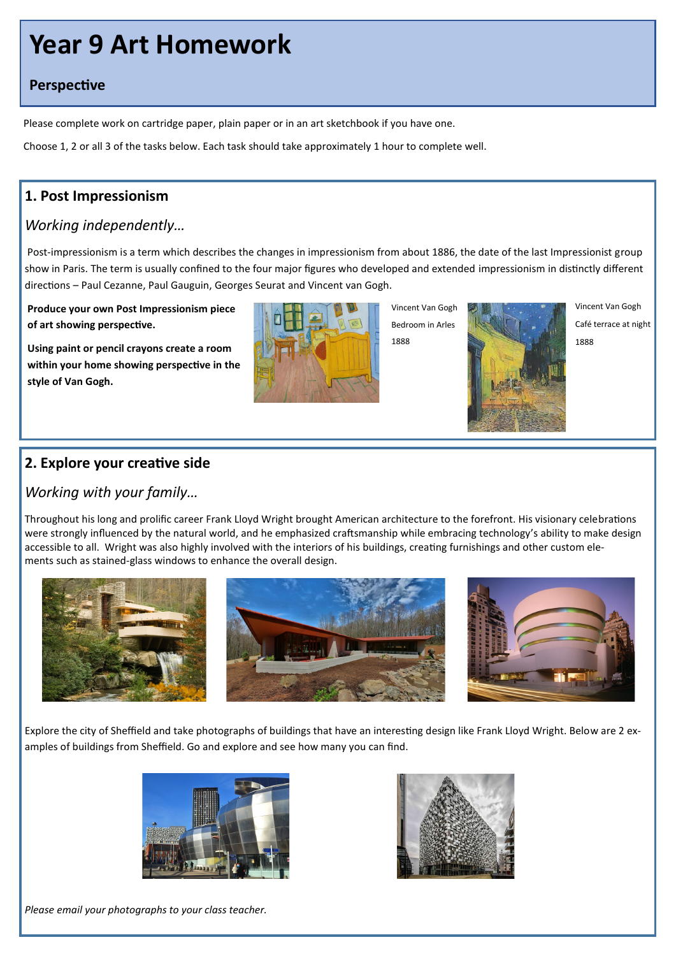# **Year 9 Art Homework**

#### **Perspective**

Please complete work on cartridge paper, plain paper or in an art sketchbook if you have one.

Choose 1, 2 or all 3 of the tasks below. Each task should take approximately 1 hour to complete well.

# **1. Post Impressionism**

# *Working independently…*

Post-impressionism is a term which describes the changes in impressionism from about 1886, the date of the last Impressionist group show in Paris. The term is usually confined to the four major figures who developed and extended impressionism in distinctly different directions – [Paul Cezanne,](https://www.tate.org.uk/art/artists/paul-cezanne-879) [Paul Gauguin,](https://www.tate.org.uk/art/artists/paul-gauguin-1144) [Georges Seurat](https://www.tate.org.uk/art/artists/georges-seurat-1926) and [Vincent van Gogh.](https://www.tate.org.uk/art/artists/vincent-van-gogh-1182)

**Produce your own Post Impressionism piece of art showing perspective.** 

**Using paint or pencil crayons create a room within your home showing perspective in the style of Van Gogh.**



Vincent Van Gogh Bedroom in Arles 1888



Vincent Van Gogh Café terrace at night 1888

# **2. Explore your creative side**

#### *Working with your family…*

Throughout his long and prolific career Frank Lloyd Wright brought American architecture to the forefront. His visionary celebrations were strongly influenced by the natural world, and he emphasized craftsmanship while embracing technology's ability to make design accessible to all. Wright was also highly involved with the interiors of his buildings, creating furnishings and other custom elements such as stained-glass windows to enhance the overall design.



Explore the city of Sheffield and take photographs of buildings that have an interesting design like Frank Lloyd Wright. Below are 2 examples of buildings from Sheffield. Go and explore and see how many you can find.





*Please email your photographs to your class teacher.*